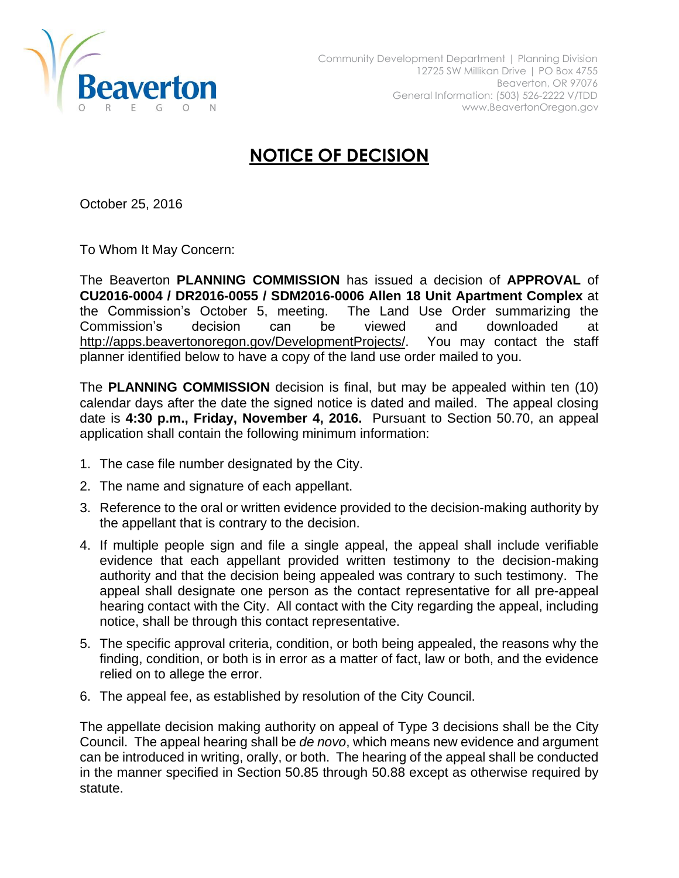

## **NOTICE OF DECISION**

October 25, 2016

To Whom It May Concern:

The Beaverton **PLANNING COMMISSION** has issued a decision of **APPROVAL** of **CU2016-0004 / DR2016-0055 / SDM2016-0006 Allen 18 Unit Apartment Complex** at the Commission's October 5, meeting. The Land Use Order summarizing the Commission's decision can be viewed and downloaded at [http://apps.beavertonoregon.gov/DevelopmentProjects/.](http://apps.beavertonoregon.gov/DevelopmentProjects/) You may contact the staff planner identified below to have a copy of the land use order mailed to you.

The **PLANNING COMMISSION** decision is final, but may be appealed within ten (10) calendar days after the date the signed notice is dated and mailed. The appeal closing date is **4:30 p.m., Friday, November 4, 2016.** Pursuant to Section 50.70, an appeal application shall contain the following minimum information:

- 1. The case file number designated by the City.
- 2. The name and signature of each appellant.
- 3. Reference to the oral or written evidence provided to the decision-making authority by the appellant that is contrary to the decision.
- 4. If multiple people sign and file a single appeal, the appeal shall include verifiable evidence that each appellant provided written testimony to the decision-making authority and that the decision being appealed was contrary to such testimony. The appeal shall designate one person as the contact representative for all pre-appeal hearing contact with the City. All contact with the City regarding the appeal, including notice, shall be through this contact representative.
- 5. The specific approval criteria, condition, or both being appealed, the reasons why the finding, condition, or both is in error as a matter of fact, law or both, and the evidence relied on to allege the error.
- 6. The appeal fee, as established by resolution of the City Council.

The appellate decision making authority on appeal of Type 3 decisions shall be the City Council. The appeal hearing shall be *de novo*, which means new evidence and argument can be introduced in writing, orally, or both. The hearing of the appeal shall be conducted in the manner specified in Section 50.85 through 50.88 except as otherwise required by statute.